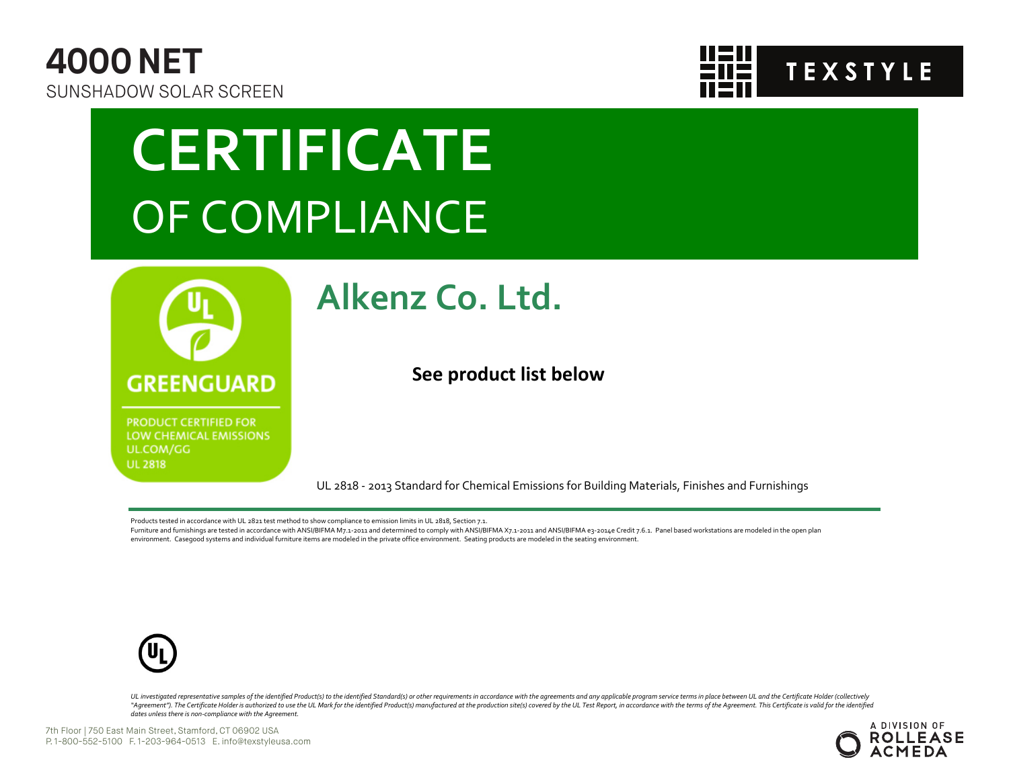



## **CERTIFICATE** OF COMPLIANCE



**PRODUCT CERTIFIED FOR** LOW CHEMICAL EMISSIONS UL.COM/GG **UL 2818** 

### **Alkenz Co. Ltd.**

**See product list below**

UL 2818 - 2013 Standard for Chemical Emissions for Building Materials, Finishes and Furnishings

Products tested in accordance with UL 2821 test method to show compliance to emission limits in UL 2818, Section 7.1.

Furniture and furnishings are tested in accordance with ANSI/BIFMA M7.1-2011 and determined to comply with ANSI/BIFMA X7.1-2011 and ANSI/BIFMA e3-2014e Credit 7.6.1. Panel based workstations are modeled in the open plan environment. Casegood systems and individual furniture items are modeled in the private office environment. Seating products are modeled in the seating environment.



UL investigated representative samples of the identified Product(s) to the identified Standard(s) or other requirements in accordance with the agreements and any applicable program service terms in place between UL and the "Agreement"). The Certificate Holder is authorized to use the UL Mark for the identified Product(s) manufactured at the production site(s) covered by the UL Test Report, in accordance with the terms of the Agreement. This *dates unless there is non-compliance with the Agreement.*

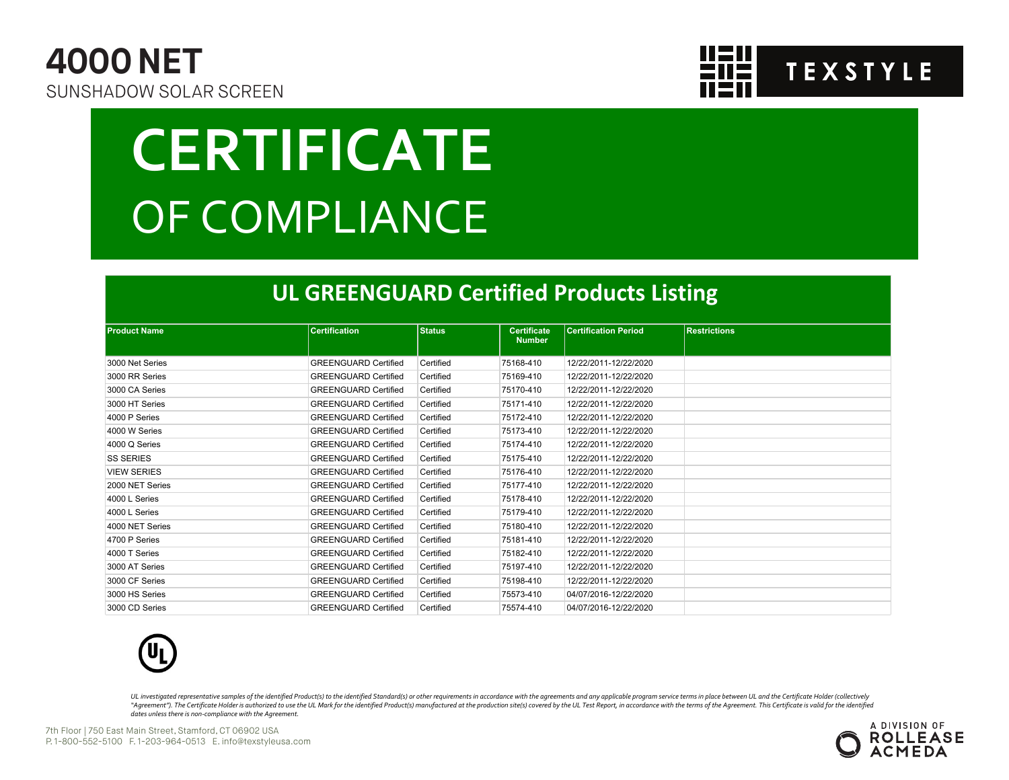



# **CERTIFICATE** OF COMPLIANCE

#### **UL GREENGUARD Certified Products Listing**

| <b>Product Name</b> | <b>Certification</b>        | <b>Status</b> | <b>Certificate</b><br><b>Number</b> | <b>Certification Period</b> | <b>Restrictions</b> |  |  |  |
|---------------------|-----------------------------|---------------|-------------------------------------|-----------------------------|---------------------|--|--|--|
| 3000 Net Series     | <b>GREENGUARD Certified</b> | Certified     | 75168-410                           | 12/22/2011-12/22/2020       |                     |  |  |  |
| 3000 RR Series      | <b>GREENGUARD Certified</b> | Certified     | 75169-410                           | 12/22/2011-12/22/2020       |                     |  |  |  |
| 3000 CA Series      | <b>GREENGUARD Certified</b> | Certified     | 75170-410                           | 12/22/2011-12/22/2020       |                     |  |  |  |
| 3000 HT Series      | <b>GREENGUARD Certified</b> | Certified     | 75171-410                           | 12/22/2011-12/22/2020       |                     |  |  |  |
| 4000 P Series       | <b>GREENGUARD Certified</b> | Certified     | 75172-410                           | 12/22/2011-12/22/2020       |                     |  |  |  |
| 4000 W Series       | <b>GREENGUARD Certified</b> | Certified     | 75173-410                           | 12/22/2011-12/22/2020       |                     |  |  |  |
| 4000 Q Series       | <b>GREENGUARD Certified</b> | Certified     | 75174-410                           | 12/22/2011-12/22/2020       |                     |  |  |  |
| <b>SS SERIES</b>    | <b>GREENGUARD Certified</b> | Certified     | 75175-410                           | 12/22/2011-12/22/2020       |                     |  |  |  |
| <b>VIEW SERIES</b>  | <b>GREENGUARD Certified</b> | Certified     | 75176-410                           | 12/22/2011-12/22/2020       |                     |  |  |  |
| 2000 NET Series     | <b>GREENGUARD Certified</b> | Certified     | 75177-410                           | 12/22/2011-12/22/2020       |                     |  |  |  |
| 4000 L Series       | <b>GREENGUARD Certified</b> | Certified     | 75178-410                           | 12/22/2011-12/22/2020       |                     |  |  |  |
| 4000 L Series       | <b>GREENGUARD Certified</b> | Certified     | 75179-410                           | 12/22/2011-12/22/2020       |                     |  |  |  |
| 4000 NET Series     | <b>GREENGUARD Certified</b> | Certified     | 75180-410                           | 12/22/2011-12/22/2020       |                     |  |  |  |
| 4700 P Series       | <b>GREENGUARD Certified</b> | Certified     | 75181-410                           | 12/22/2011-12/22/2020       |                     |  |  |  |
| 4000 T Series       | <b>GREENGUARD Certified</b> | Certified     | 75182-410                           | 12/22/2011-12/22/2020       |                     |  |  |  |
| 3000 AT Series      | <b>GREENGUARD Certified</b> | Certified     | 75197-410                           | 12/22/2011-12/22/2020       |                     |  |  |  |
| 3000 CF Series      | <b>GREENGUARD Certified</b> | Certified     | 75198-410                           | 12/22/2011-12/22/2020       |                     |  |  |  |
| 3000 HS Series      | <b>GREENGUARD Certified</b> | Certified     | 75573-410                           | 04/07/2016-12/22/2020       |                     |  |  |  |
| 3000 CD Series      | <b>GREENGUARD Certified</b> | Certified     | 75574-410                           | 04/07/2016-12/22/2020       |                     |  |  |  |



UL investigated representative samples of the identified Product(s) to the identified Standard(s) or other requirements in accordance with the agreements and any applicable program service terms in place between UL and the "Agreement"). The Certificate Holder is authorized to use the UL Mark for the identified Product(s) manufactured at the production site(s) covered by the UL Test Report, in accordance with the terms of the Agreement. This *dates unless there is non-compliance with the Agreement.*



7th Floor | 750 East Main Street, Stamford, CT 06902 USA P. 1-800-552-5100 F. 1-203-964-0513 E. info@texstyleusa.com